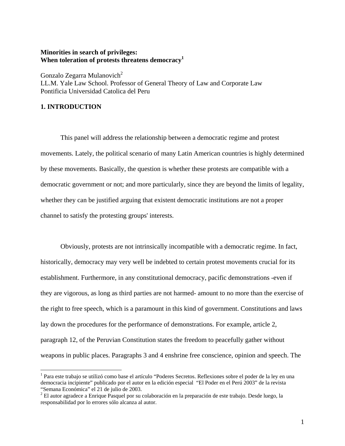# **Minorities in search of privileges: When toleration of protests threatens democracy<sup>1</sup>**

Gonzalo Zegarra Mulanovich<sup>2</sup> LL.M. Yale Law School. Professor of General Theory of Law and Corporate Law Pontificia Universidad Catolica del Peru

# **1. INTRODUCTION**

1

 This panel will address the relationship between a democratic regime and protest movements. Lately, the political scenario of many Latin American countries is highly determined by these movements. Basically, the question is whether these protests are compatible with a democratic government or not; and more particularly, since they are beyond the limits of legality, whether they can be justified arguing that existent democratic institutions are not a proper channel to satisfy the protesting groups' interests.

 Obviously, protests are not intrinsically incompatible with a democratic regime. In fact, historically, democracy may very well be indebted to certain protest movements crucial for its establishment. Furthermore, in any constitutional democracy, pacific demonstrations -even if they are vigorous, as long as third parties are not harmed- amount to no more than the exercise of the right to free speech, which is a paramount in this kind of government. Constitutions and laws lay down the procedures for the performance of demonstrations. For example, article 2, paragraph 12, of the Peruvian Constitution states the freedom to peacefully gather without weapons in public places. Paragraphs 3 and 4 enshrine free conscience, opinion and speech. The

<sup>&</sup>lt;sup>1</sup> Para este trabajo se utilizó como base el artículo "Poderes Secretos. Reflexiones sobre el poder de la ley en una democracia incipiente" publicado por el autor en la edición especial "El Poder en el Perú 2003" de la revista "Semana Económica" el 21 de julio de 2003.

<sup>&</sup>lt;sup>2</sup> El autor agradece a Enrique Pasquel por su colaboración en la preparación de este trabajo. Desde luego, la responsabilidad por lo errores sólo alcanza al autor.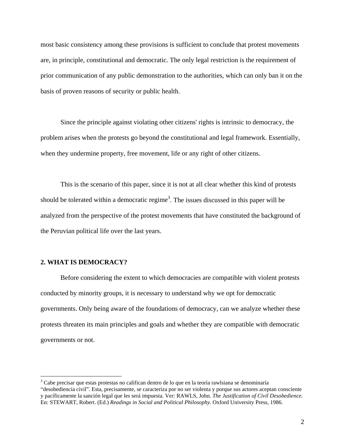most basic consistency among these provisions is sufficient to conclude that protest movements are, in principle, constitutional and democratic. The only legal restriction is the requirement of prior communication of any public demonstration to the authorities, which can only ban it on the basis of proven reasons of security or public health.

 Since the principle against violating other citizens' rights is intrinsic to democracy, the problem arises when the protests go beyond the constitutional and legal framework. Essentially, when they undermine property, free movement, life or any right of other citizens.

 This is the scenario of this paper, since it is not at all clear whether this kind of protests should be tolerated within a democratic regime<sup>3</sup>. The issues discussed in this paper will be analyzed from the perspective of the protest movements that have constituted the background of the Peruvian political life over the last years.

#### **2. WHAT IS DEMOCRACY?**

 $\overline{a}$ 

 Before considering the extent to which democracies are compatible with violent protests conducted by minority groups, it is necessary to understand why we opt for democratic governments. Only being aware of the foundations of democracy, can we analyze whether these protests threaten its main principles and goals and whether they are compatible with democratic governments or not.

<sup>&</sup>lt;sup>3</sup> Cabe precisar que estas protestas no califican dentro de lo que en la teoría rawlsiana se denominaría

<sup>&</sup>quot;desobediencia civil". Esta, precisamente, se caracteriza por no ser violenta y porque sus actores aceptan consciente y pacíficamente la sanción legal que les será impuesta. Ver: RAWLS, John. *The Justification of Civil Desobedience.*  En: STEWART, Robert. (Ed.) *Readings in Social and Political Philosophy.* Oxford University Press, 1986.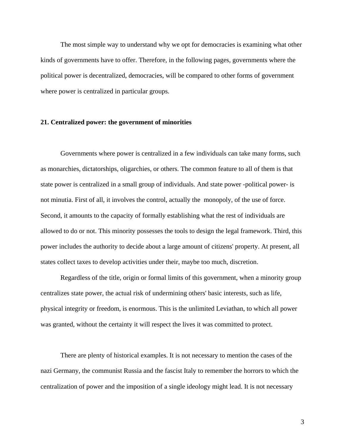The most simple way to understand why we opt for democracies is examining what other kinds of governments have to offer. Therefore, in the following pages, governments where the political power is decentralized, democracies, will be compared to other forms of government where power is centralized in particular groups.

# **21. Centralized power: the government of minorities**

 Governments where power is centralized in a few individuals can take many forms, such as monarchies, dictatorships, oligarchies, or others. The common feature to all of them is that state power is centralized in a small group of individuals. And state power -political power- is not minutia. First of all, it involves the control, actually the monopoly, of the use of force. Second, it amounts to the capacity of formally establishing what the rest of individuals are allowed to do or not. This minority possesses the tools to design the legal framework. Third, this power includes the authority to decide about a large amount of citizens' property. At present, all states collect taxes to develop activities under their, maybe too much, discretion.

 Regardless of the title, origin or formal limits of this government, when a minority group centralizes state power, the actual risk of undermining others' basic interests, such as life, physical integrity or freedom, is enormous. This is the unlimited Leviathan, to which all power was granted, without the certainty it will respect the lives it was committed to protect.

 There are plenty of historical examples. It is not necessary to mention the cases of the nazi Germany, the communist Russia and the fascist Italy to remember the horrors to which the centralization of power and the imposition of a single ideology might lead. It is not necessary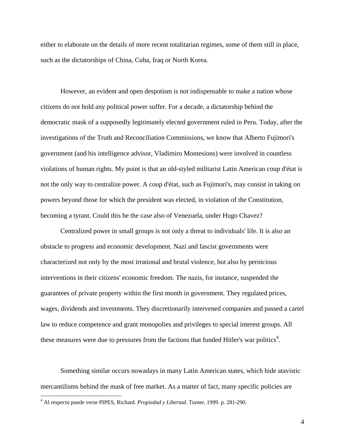either to elaborate on the details of more recent totalitarian regimes, some of them still in place, such as the dictatorships of China, Cuba, Iraq or North Korea.

 However, an evident and open despotism is not indispensable to make a nation whose citizens do not hold any political power suffer. For a decade, a dictatorship behind the democratic mask of a supposedly legitimately elected government ruled in Peru. Today, after the investigations of the Truth and Reconciliation Commissions, we know that Alberto Fujimori's government (and his intelligence advisor, Vladimiro Montesions) were involved in countless violations of human rights. My point is that an old-styled militarist Latin American coup d'état is not the only way to centralize power. A coup d'état, such as Fujimori's, may consist in taking on powers beyond those for which the president was elected, in violation of the Constitution, becoming a tyrant. Could this be the case also of Venezuela, under Hugo Chavez?

 Centralized power in small groups is not only a threat to individuals' life. It is also an obstacle to progress and economic development. Nazi and fascist governments were characterized not only by the most irrational and brutal violence, but also by pernicious interventions in their citizens' economic freedom. The nazis, for instance, suspended the guarantees of private property within the first month in government. They regulated prices, wages, dividends and investments. They discretionarily intervened companies and passed a cartel law to reduce competence and grant monopolies and privileges to special interest groups. All these measures were due to pressures from the factions that funded Hitler's war politics<sup>4</sup>.

 Something similar occurs nowadays in many Latin American states, which hide atavistic mercantilisms behind the mask of free market. As a matter of fact, many specific policies are

<u>.</u>

<sup>4</sup> Al respecto puede verse PIPES, Richard. *Propiedad y Libertad.* Turner, 1999. p. 281-290.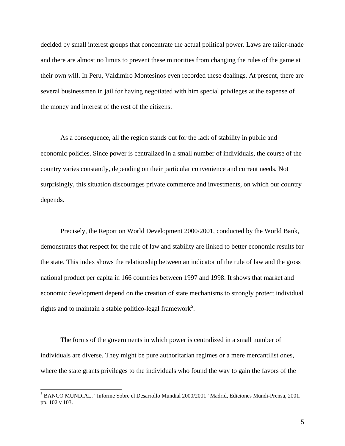decided by small interest groups that concentrate the actual political power. Laws are tailor-made and there are almost no limits to prevent these minorities from changing the rules of the game at their own will. In Peru, Valdimiro Montesinos even recorded these dealings. At present, there are several businessmen in jail for having negotiated with him special privileges at the expense of the money and interest of the rest of the citizens.

 As a consequence, all the region stands out for the lack of stability in public and economic policies. Since power is centralized in a small number of individuals, the course of the country varies constantly, depending on their particular convenience and current needs. Not surprisingly, this situation discourages private commerce and investments, on which our country depends.

 Precisely, the Report on World Development 2000/2001, conducted by the World Bank, demonstrates that respect for the rule of law and stability are linked to better economic results for the state. This index shows the relationship between an indicator of the rule of law and the gross national product per capita in 166 countries between 1997 and 1998. It shows that market and economic development depend on the creation of state mechanisms to strongly protect individual rights and to maintain a stable politico-legal framework<sup>5</sup>.

 The forms of the governments in which power is centralized in a small number of individuals are diverse. They might be pure authoritarian regimes or a mere mercantilist ones, where the state grants privileges to the individuals who found the way to gain the favors of the

 5 BANCO MUNDIAL. "Informe Sobre el Desarrollo Mundial 2000/2001" Madrid, Ediciones Mundi-Prensa, 2001. pp. 102 y 103.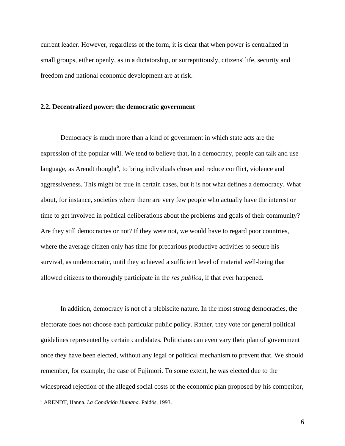current leader. However, regardless of the form, it is clear that when power is centralized in small groups, either openly, as in a dictatorship, or surreptitiously, citizens' life, security and freedom and national economic development are at risk.

## **2.2. Decentralized power: the democratic government**

 Democracy is much more than a kind of government in which state acts are the expression of the popular will. We tend to believe that, in a democracy, people can talk and use language, as Arendt thought<sup>6</sup>, to bring individuals closer and reduce conflict, violence and aggressiveness. This might be true in certain cases, but it is not what defines a democracy. What about, for instance, societies where there are very few people who actually have the interest or time to get involved in political deliberations about the problems and goals of their community? Are they still democracies or not? If they were not, we would have to regard poor countries, where the average citizen only has time for precarious productive activities to secure his survival, as undemocratic, until they achieved a sufficient level of material well-being that allowed citizens to thoroughly participate in the *res publica*, if that ever happened.

 In addition, democracy is not of a plebiscite nature. In the most strong democracies, the electorate does not choose each particular public policy. Rather, they vote for general political guidelines represented by certain candidates. Politicians can even vary their plan of government once they have been elected, without any legal or political mechanism to prevent that. We should remember, for example, the case of Fujimori. To some extent, he was elected due to the widespread rejection of the alleged social costs of the economic plan proposed by his competitor,

<sup>6</sup> ARENDT, Hanna. *La Condición Humana.* Paidós, 1993.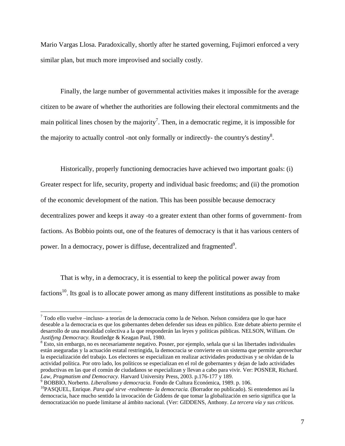Mario Vargas Llosa. Paradoxically, shortly after he started governing, Fujimori enforced a very similar plan, but much more improvised and socially costly.

 Finally, the large number of governmental activities makes it impossible for the average citizen to be aware of whether the authorities are following their electoral commitments and the main political lines chosen by the majority<sup>7</sup>. Then, in a democratic regime, it is impossible for the majority to actually control -not only formally or indirectly- the country's destiny<sup>8</sup>.

 Historically, properly functioning democracies have achieved two important goals: (i) Greater respect for life, security, property and individual basic freedoms; and (ii) the promotion of the economic development of the nation. This has been possible because democracy decentralizes power and keeps it away -to a greater extent than other forms of government- from factions. As Bobbio points out, one of the features of democracy is that it has various centers of power. In a democracy, power is diffuse, decentralized and fragmented $9$ .

 That is why, in a democracy, it is essential to keep the political power away from factions<sup>10</sup>. Its goal is to allocate power among as many different institutions as possible to make

 $7$  Todo ello vuelve –incluso- a teorías de la democracia como la de Nelson. Nelson considera que lo que hace deseable a la democracia es que los gobernantes deben defender sus ideas en público. Este debate abierto permite el desarrollo de una moralidad colectiva a la que responderán las leyes y políticas públicas. NELSON, William. *On*  Justifyng Democracy. Routledge & Keagan Paul, 1980.

Esto, sin embargo, no es necesariamente negativo. Posner, por ejemplo, señala que si las libertades individuales están aseguradas y la actuación estatal restringida, la democracia se convierte en un sistema que permite aprovechar la especialización del trabajo. Los electores se especializan en realizar actividades productivas y se olvidan de la actividad política. Por otro lado, los políticos se especializan en el rol de gobernantes y dejan de lado actividades productivas en las que el común de ciudadanos se especializan y llevan a cabo para vivir. Ver: POSNER, Richard. *Law, Pragmatism and Democracy.* Harvard University Press, 2003. p.176-177 y 189.<br><sup>9</sup> BOBBIO, Norberto. *Liberalismo y democracia*. Fondo de Cultura Económica, 1989. p. 106.

<sup>&</sup>lt;sup>10</sup>PASQUEL, Enrique. *Para qué sirve -realmente- la democracia*. (Borrador no publicado). Si entendemos así la democracia, hace mucho sentido la invocación de Giddens de que tomar la globalización en serio significa que la democratización no puede limitarse al ámbito nacional. (Ver: GIDDENS, Anthony. *La tercera vía y sus críticos.*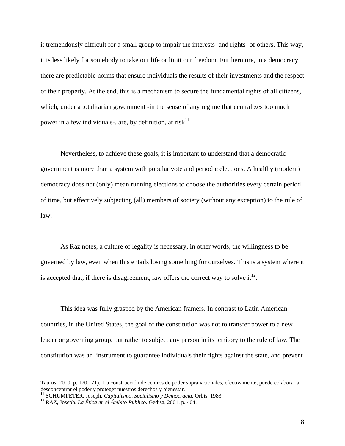it tremendously difficult for a small group to impair the interests -and rights- of others. This way, it is less likely for somebody to take our life or limit our freedom. Furthermore, in a democracy, there are predictable norms that ensure individuals the results of their investments and the respect of their property. At the end, this is a mechanism to secure the fundamental rights of all citizens, which, under a totalitarian government -in the sense of any regime that centralizes too much power in a few individuals-, are, by definition, at risk $11$ .

 Nevertheless, to achieve these goals, it is important to understand that a democratic government is more than a system with popular vote and periodic elections. A healthy (modern) democracy does not (only) mean running elections to choose the authorities every certain period of time, but effectively subjecting (all) members of society (without any exception) to the rule of law.

 As Raz notes, a culture of legality is necessary, in other words, the willingness to be governed by law, even when this entails losing something for ourselves. This is a system where it is accepted that, if there is disagreement, law offers the correct way to solve  $it^{12}$ .

 This idea was fully grasped by the American framers. In contrast to Latin American countries, in the United States, the goal of the constitution was not to transfer power to a new leader or governing group, but rather to subject any person in its territory to the rule of law. The constitution was an instrument to guarantee individuals their rights against the state, and prevent

Taurus, 2000. p. 170,171). La construcción de centros de poder supranacionales, efectivamente, puede colaborar a desconcentrar el poder y proteger nuestros derechos y bienestar.

<sup>11</sup> SCHUMPETER, Joseph. *Capitalismo, Socialismo y Democracia.* Orbis, 1983. 12 RAZ, Joseph. *La Ética en el Ámbito Público.* Gedisa, 2001. p. 404.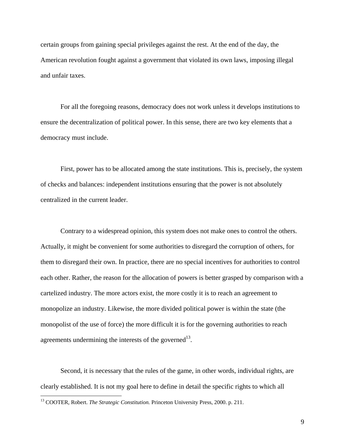certain groups from gaining special privileges against the rest. At the end of the day, the American revolution fought against a government that violated its own laws, imposing illegal and unfair taxes.

 For all the foregoing reasons, democracy does not work unless it develops institutions to ensure the decentralization of political power. In this sense, there are two key elements that a democracy must include.

 First, power has to be allocated among the state institutions. This is, precisely, the system of checks and balances: independent institutions ensuring that the power is not absolutely centralized in the current leader.

 Contrary to a widespread opinion, this system does not make ones to control the others. Actually, it might be convenient for some authorities to disregard the corruption of others, for them to disregard their own. In practice, there are no special incentives for authorities to control each other. Rather, the reason for the allocation of powers is better grasped by comparison with a cartelized industry. The more actors exist, the more costly it is to reach an agreement to monopolize an industry. Likewise, the more divided political power is within the state (the monopolist of the use of force) the more difficult it is for the governing authorities to reach agreements undermining the interests of the governed<sup>13</sup>.

 Second, it is necessary that the rules of the game, in other words, individual rights, are clearly established. It is not my goal here to define in detail the specific rights to which all

<u>.</u>

<sup>&</sup>lt;sup>13</sup> COOTER, Robert. *The Strategic Constitution*. Princeton University Press, 2000. p. 211.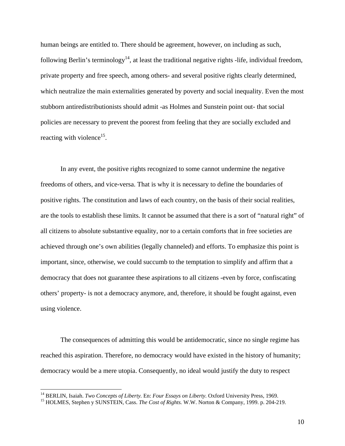human beings are entitled to. There should be agreement, however, on including as such, following Berlin's terminology<sup>14</sup>, at least the traditional negative rights -life, individual freedom, private property and free speech, among others- and several positive rights clearly determined, which neutralize the main externalities generated by poverty and social inequality. Even the most stubborn antiredistributionists should admit -as Holmes and Sunstein point out- that social policies are necessary to prevent the poorest from feeling that they are socially excluded and reacting with violence<sup>15</sup>.

 In any event, the positive rights recognized to some cannot undermine the negative freedoms of others, and vice-versa. That is why it is necessary to define the boundaries of positive rights. The constitution and laws of each country, on the basis of their social realities, are the tools to establish these limits. It cannot be assumed that there is a sort of "natural right" of all citizens to absolute substantive equality, nor to a certain comforts that in free societies are achieved through one's own abilities (legally channeled) and efforts. To emphasize this point is important, since, otherwise, we could succumb to the temptation to simplify and affirm that a democracy that does not guarantee these aspirations to all citizens -even by force, confiscating others' property- is not a democracy anymore, and, therefore, it should be fought against, even using violence.

 The consequences of admitting this would be antidemocratic, since no single regime has reached this aspiration. Therefore, no democracy would have existed in the history of humanity; democracy would be a mere utopia. Consequently, no ideal would justify the duty to respect

<sup>&</sup>lt;sup>14</sup> BERLIN, Isaiah. *Two Concepts of Liberty*. En: *Four Essays on Liberty*. Oxford University Press, 1969.<br><sup>15</sup> HOLMES, Stephen y SUNSTEIN, Cass. *The Cost of Rights*. W.W. Norton & Company, 1999. p. 204-219.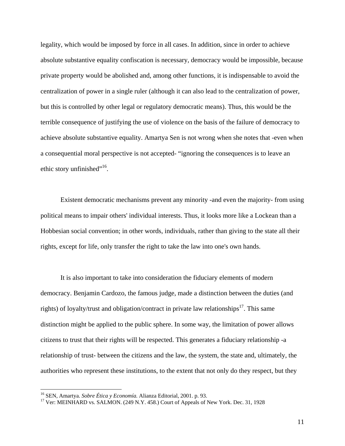legality, which would be imposed by force in all cases. In addition, since in order to achieve absolute substantive equality confiscation is necessary, democracy would be impossible, because private property would be abolished and, among other functions, it is indispensable to avoid the centralization of power in a single ruler (although it can also lead to the centralization of power, but this is controlled by other legal or regulatory democratic means). Thus, this would be the terrible consequence of justifying the use of violence on the basis of the failure of democracy to achieve absolute substantive equality. Amartya Sen is not wrong when she notes that -even when a consequential moral perspective is not accepted- "ignoring the consequences is to leave an ethic story unfinished"<sup>16</sup>.

 Existent democratic mechanisms prevent any minority -and even the majority- from using political means to impair others' individual interests. Thus, it looks more like a Lockean than a Hobbesian social convention; in other words, individuals, rather than giving to the state all their rights, except for life, only transfer the right to take the law into one's own hands.

 It is also important to take into consideration the fiduciary elements of modern democracy. Benjamin Cardozo, the famous judge, made a distinction between the duties (and rights) of loyalty/trust and obligation/contract in private law relationships<sup>17</sup>. This same distinction might be applied to the public sphere. In some way, the limitation of power allows citizens to trust that their rights will be respected. This generates a fiduciary relationship -a relationship of trust- between the citizens and the law, the system, the state and, ultimately, the authorities who represent these institutions, to the extent that not only do they respect, but they

<sup>&</sup>lt;sup>16</sup> SEN, Amartya. Sobre Ética y Economía. Alianza Editorial, 2001. p. 93.

<sup>&</sup>lt;sup>17</sup> Ver: MEINHARD vs. SALMON. (249 N.Y. 458.) Court of Appeals of New York. Dec. 31, 1928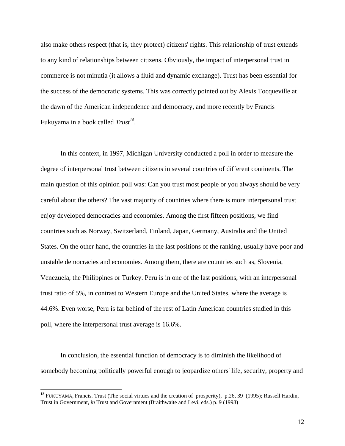also make others respect (that is, they protect) citizens' rights. This relationship of trust extends to any kind of relationships between citizens. Obviously, the impact of interpersonal trust in commerce is not minutia (it allows a fluid and dynamic exchange). Trust has been essential for the success of the democratic systems. This was correctly pointed out by Alexis Tocqueville at the dawn of the American independence and democracy, and more recently by Francis Fukuyama in a book called *Trust*<sup>18</sup>.

 In this context, in 1997, Michigan University conducted a poll in order to measure the degree of interpersonal trust between citizens in several countries of different continents. The main question of this opinion poll was: Can you trust most people or you always should be very careful about the others? The vast majority of countries where there is more interpersonal trust enjoy developed democracies and economies. Among the first fifteen positions, we find countries such as Norway, Switzerland, Finland, Japan, Germany, Australia and the United States. On the other hand, the countries in the last positions of the ranking, usually have poor and unstable democracies and economies. Among them, there are countries such as, Slovenia, Venezuela, the Philippines or Turkey. Peru is in one of the last positions, with an interpersonal trust ratio of 5%, in contrast to Western Europe and the United States, where the average is 44.6%. Even worse, Peru is far behind of the rest of Latin American countries studied in this poll, where the interpersonal trust average is 16.6%.

 In conclusion, the essential function of democracy is to diminish the likelihood of somebody becoming politically powerful enough to jeopardize others' life, security, property and

<sup>&</sup>lt;sup>18</sup> FUKUYAMA, Francis. Trust (The social virtues and the creation of prosperity), p.26, 39 (1995); Russell Hardin, Trust in Government, *in* Trust and Government (Braithwaite and Levi, eds.) p. 9 (1998)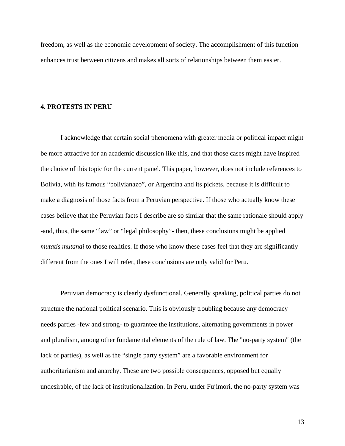freedom, as well as the economic development of society. The accomplishment of this function enhances trust between citizens and makes all sorts of relationships between them easier.

#### **4. PROTESTS IN PERU**

 I acknowledge that certain social phenomena with greater media or political impact might be more attractive for an academic discussion like this, and that those cases might have inspired the choice of this topic for the current panel. This paper, however, does not include references to Bolivia, with its famous "bolivianazo", or Argentina and its pickets, because it is difficult to make a diagnosis of those facts from a Peruvian perspective. If those who actually know these cases believe that the Peruvian facts I describe are so similar that the same rationale should apply -and, thus, the same "law" or "legal philosophy"- then, these conclusions might be applied *mutatis mutandi* to those realities. If those who know these cases feel that they are significantly different from the ones I will refer, these conclusions are only valid for Peru.

 Peruvian democracy is clearly dysfunctional. Generally speaking, political parties do not structure the national political scenario. This is obviously troubling because any democracy needs parties -few and strong- to guarantee the institutions, alternating governments in power and pluralism, among other fundamental elements of the rule of law. The "no-party system" (the lack of parties), as well as the "single party system" are a favorable environment for authoritarianism and anarchy. These are two possible consequences, opposed but equally undesirable, of the lack of institutionalization. In Peru, under Fujimori, the no-party system was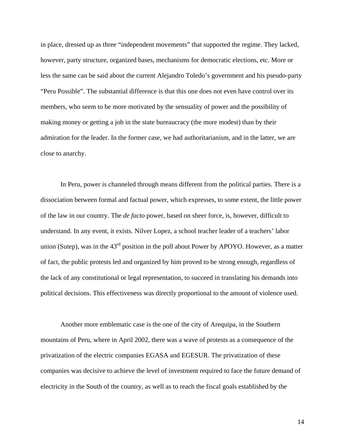in place, dressed up as three "independent movements" that supported the regime. They lacked, however, party structure, organized bases, mechanisms for democratic elections, etc. More or less the same can be said about the current Alejandro Toledo's government and his pseudo-party "Peru Possible". The substantial difference is that this one does not even have control over its members, who seem to be more motivated by the sensuality of power and the possibility of making money or getting a job in the state bureaucracy (the more modest) than by their admiration for the leader. In the former case, we had authoritarianism, and in the latter, we are close to anarchy.

 In Peru, power is channeled through means different from the political parties. There is a dissociation between formal and factual power, which expresses, to some extent, the little power of the law in our country. The *de facto* power, based on sheer force, is, however, difficult to understand. In any event, it exists. Nilver Lopez, a school teacher leader of a teachers' labor union (Sutep), was in the  $43<sup>rd</sup>$  position in the poll about Power by APOYO. However, as a matter of fact, the public protests led and organized by him proved to be strong enough, regardless of the lack of any constitutional or legal representation, to succeed in translating his demands into political decisions. This effectiveness was directly proportional to the amount of violence used.

 Another more emblematic case is the one of the city of Arequipa, in the Southern mountains of Peru, where in April 2002, there was a wave of protests as a consequence of the privatization of the electric companies EGASA and EGESUR. The privatization of these companies was decisive to achieve the level of investment required to face the future demand of electricity in the South of the country, as well as to reach the fiscal goals established by the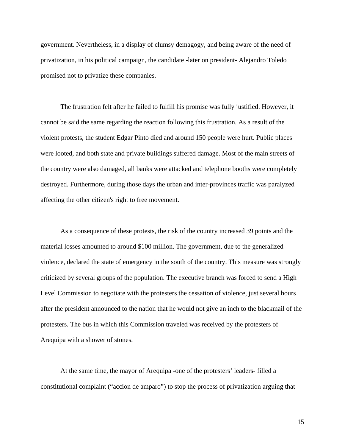government. Nevertheless, in a display of clumsy demagogy, and being aware of the need of privatization, in his political campaign, the candidate -later on president- Alejandro Toledo promised not to privatize these companies.

 The frustration felt after he failed to fulfill his promise was fully justified. However, it cannot be said the same regarding the reaction following this frustration. As a result of the violent protests, the student Edgar Pinto died and around 150 people were hurt. Public places were looted, and both state and private buildings suffered damage. Most of the main streets of the country were also damaged, all banks were attacked and telephone booths were completely destroyed. Furthermore, during those days the urban and inter-provinces traffic was paralyzed affecting the other citizen's right to free movement.

 As a consequence of these protests, the risk of the country increased 39 points and the material losses amounted to around \$100 million. The government, due to the generalized violence, declared the state of emergency in the south of the country. This measure was strongly criticized by several groups of the population. The executive branch was forced to send a High Level Commission to negotiate with the protesters the cessation of violence, just several hours after the president announced to the nation that he would not give an inch to the blackmail of the protesters. The bus in which this Commission traveled was received by the protesters of Arequipa with a shower of stones.

 At the same time, the mayor of Arequipa -one of the protesters' leaders- filled a constitutional complaint ("accion de amparo") to stop the process of privatization arguing that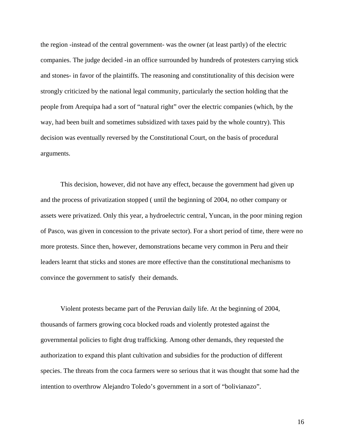the region -instead of the central government- was the owner (at least partly) of the electric companies. The judge decided -in an office surrounded by hundreds of protesters carrying stick and stones- in favor of the plaintiffs. The reasoning and constitutionality of this decision were strongly criticized by the national legal community, particularly the section holding that the people from Arequipa had a sort of "natural right" over the electric companies (which, by the way, had been built and sometimes subsidized with taxes paid by the whole country). This decision was eventually reversed by the Constitutional Court, on the basis of procedural arguments.

 This decision, however, did not have any effect, because the government had given up and the process of privatization stopped ( until the beginning of 2004, no other company or assets were privatized. Only this year, a hydroelectric central, Yuncan, in the poor mining region of Pasco, was given in concession to the private sector). For a short period of time, there were no more protests. Since then, however, demonstrations became very common in Peru and their leaders learnt that sticks and stones are more effective than the constitutional mechanisms to convince the government to satisfy their demands.

 Violent protests became part of the Peruvian daily life. At the beginning of 2004, thousands of farmers growing coca blocked roads and violently protested against the governmental policies to fight drug trafficking. Among other demands, they requested the authorization to expand this plant cultivation and subsidies for the production of different species. The threats from the coca farmers were so serious that it was thought that some had the intention to overthrow Alejandro Toledo's government in a sort of "bolivianazo".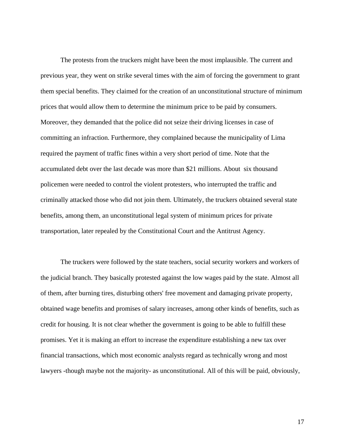The protests from the truckers might have been the most implausible. The current and previous year, they went on strike several times with the aim of forcing the government to grant them special benefits. They claimed for the creation of an unconstitutional structure of minimum prices that would allow them to determine the minimum price to be paid by consumers. Moreover, they demanded that the police did not seize their driving licenses in case of committing an infraction. Furthermore, they complained because the municipality of Lima required the payment of traffic fines within a very short period of time. Note that the accumulated debt over the last decade was more than \$21 millions. About six thousand policemen were needed to control the violent protesters, who interrupted the traffic and criminally attacked those who did not join them. Ultimately, the truckers obtained several state benefits, among them, an unconstitutional legal system of minimum prices for private transportation, later repealed by the Constitutional Court and the Antitrust Agency.

 The truckers were followed by the state teachers, social security workers and workers of the judicial branch. They basically protested against the low wages paid by the state. Almost all of them, after burning tires, disturbing others' free movement and damaging private property, obtained wage benefits and promises of salary increases, among other kinds of benefits, such as credit for housing. It is not clear whether the government is going to be able to fulfill these promises. Yet it is making an effort to increase the expenditure establishing a new tax over financial transactions, which most economic analysts regard as technically wrong and most lawyers -though maybe not the majority- as unconstitutional. All of this will be paid, obviously,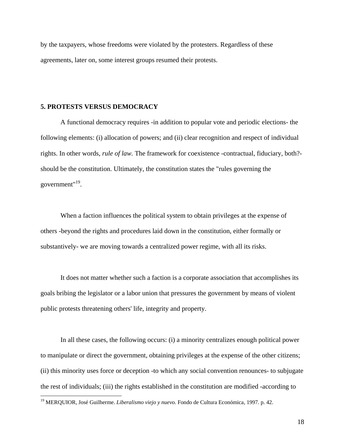by the taxpayers, whose freedoms were violated by the protesters. Regardless of these agreements, later on, some interest groups resumed their protests.

# **5. PROTESTS VERSUS DEMOCRACY**

<u>.</u>

 A functional democracy requires -in addition to popular vote and periodic elections- the following elements: (i) allocation of powers; and (ii) clear recognition and respect of individual rights. In other words, *rule of law*. The framework for coexistence -contractual, fiduciary, both?should be the constitution. Ultimately, the constitution states the "rules governing the government"19.

 When a faction influences the political system to obtain privileges at the expense of others -beyond the rights and procedures laid down in the constitution, either formally or substantively- we are moving towards a centralized power regime, with all its risks.

 It does not matter whether such a faction is a corporate association that accomplishes its goals bribing the legislator or a labor union that pressures the government by means of violent public protests threatening others' life, integrity and property.

 In all these cases, the following occurs: (i) a minority centralizes enough political power to manipulate or direct the government, obtaining privileges at the expense of the other citizens; (ii) this minority uses force or deception -to which any social convention renounces- to subjugate the rest of individuals; (iii) the rights established in the constitution are modified -according to

<sup>19</sup> MERQUIOR, José Guilherme. *Liberalismo viejo y nuevo.* Fondo de Cultura Económica, 1997. p. 42.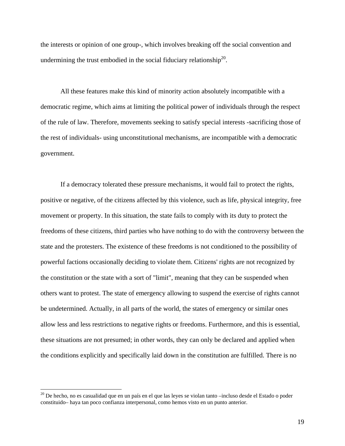the interests or opinion of one group-, which involves breaking off the social convention and undermining the trust embodied in the social fiduciary relationship<sup>20</sup>.

 All these features make this kind of minority action absolutely incompatible with a democratic regime, which aims at limiting the political power of individuals through the respect of the rule of law. Therefore, movements seeking to satisfy special interests -sacrificing those of the rest of individuals- using unconstitutional mechanisms, are incompatible with a democratic government.

 If a democracy tolerated these pressure mechanisms, it would fail to protect the rights, positive or negative, of the citizens affected by this violence, such as life, physical integrity, free movement or property. In this situation, the state fails to comply with its duty to protect the freedoms of these citizens, third parties who have nothing to do with the controversy between the state and the protesters. The existence of these freedoms is not conditioned to the possibility of powerful factions occasionally deciding to violate them. Citizens' rights are not recognized by the constitution or the state with a sort of "limit", meaning that they can be suspended when others want to protest. The state of emergency allowing to suspend the exercise of rights cannot be undetermined. Actually, in all parts of the world, the states of emergency or similar ones allow less and less restrictions to negative rights or freedoms. Furthermore, and this is essential, these situations are not presumed; in other words, they can only be declared and applied when the conditions explicitly and specifically laid down in the constitution are fulfilled. There is no

<sup>&</sup>lt;sup>20</sup> De hecho, no es casualidad que en un país en el que las leyes se violan tanto –incluso desde el Estado o poder constituido– haya tan poco confianza interpersonal, como hemos visto en un punto anterior.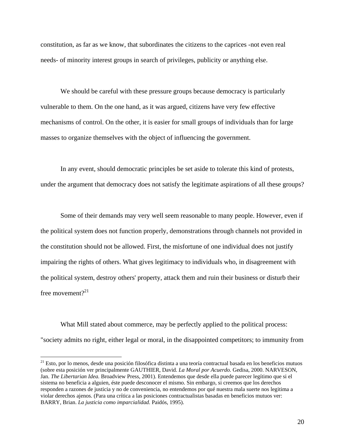constitution, as far as we know, that subordinates the citizens to the caprices -not even real needs- of minority interest groups in search of privileges, publicity or anything else.

We should be careful with these pressure groups because democracy is particularly vulnerable to them. On the one hand, as it was argued, citizens have very few effective mechanisms of control. On the other, it is easier for small groups of individuals than for large masses to organize themselves with the object of influencing the government.

 In any event, should democratic principles be set aside to tolerate this kind of protests, under the argument that democracy does not satisfy the legitimate aspirations of all these groups?

 Some of their demands may very well seem reasonable to many people. However, even if the political system does not function properly, demonstrations through channels not provided in the constitution should not be allowed. First, the misfortune of one individual does not justify impairing the rights of others. What gives legitimacy to individuals who, in disagreement with the political system, destroy others' property, attack them and ruin their business or disturb their free movement $2^{21}$ 

 What Mill stated about commerce, may be perfectly applied to the political process: "society admits no right, either legal or moral, in the disappointed competitors; to immunity from

 $21$  Esto, por lo menos, desde una posición filosófica distinta a una teoría contractual basada en los beneficios mutuos (sobre esta posición ver principalmente GAUTHIER, David. *La Moral por Acuerdo.* Gedisa, 2000. NARVESON, Jan. *The Libertarian Idea.* Broadview Press, 2001). Entendemos que desde ella puede parecer legítimo que si el sistema no beneficia a alguien, éste puede desconocer el mismo. Sin embargo, si creemos que los derechos responden a razones de justicia y no de conveniencia, no entendemos por qué nuestra mala suerte nos legitima a violar derechos ajenos. (Para una crítica a las posiciones contractualistas basadas en beneficios mutuos ver: BARRY, Brian. *La justicia como imparcialidad.* Paidós, 1995).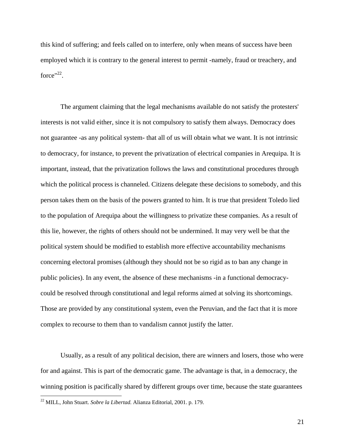this kind of suffering; and feels called on to interfere, only when means of success have been employed which it is contrary to the general interest to permit -namely, fraud or treachery, and force" $^{22}$ .

 The argument claiming that the legal mechanisms available do not satisfy the protesters' interests is not valid either, since it is not compulsory to satisfy them always. Democracy does not guarantee -as any political system- that all of us will obtain what we want. It is not intrinsic to democracy, for instance, to prevent the privatization of electrical companies in Arequipa. It is important, instead, that the privatization follows the laws and constitutional procedures through which the political process is channeled. Citizens delegate these decisions to somebody, and this person takes them on the basis of the powers granted to him. It is true that president Toledo lied to the population of Arequipa about the willingness to privatize these companies. As a result of this lie, however, the rights of others should not be undermined. It may very well be that the political system should be modified to establish more effective accountability mechanisms concerning electoral promises (although they should not be so rigid as to ban any change in public policies). In any event, the absence of these mechanisms -in a functional democracycould be resolved through constitutional and legal reforms aimed at solving its shortcomings. Those are provided by any constitutional system, even the Peruvian, and the fact that it is more complex to recourse to them than to vandalism cannot justify the latter.

 Usually, as a result of any political decision, there are winners and losers, those who were for and against. This is part of the democratic game. The advantage is that, in a democracy, the winning position is pacifically shared by different groups over time, because the state guarantees

<sup>22</sup> MILL, John Stuart. *Sobre la Libertad.* Alianza Editorial, 2001. p. 179.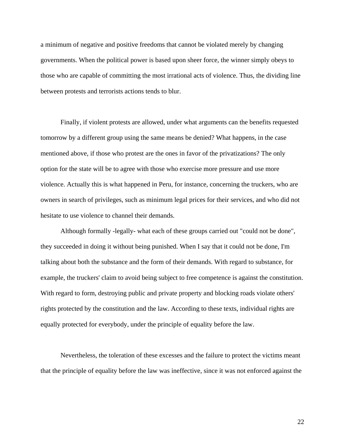a minimum of negative and positive freedoms that cannot be violated merely by changing governments. When the political power is based upon sheer force, the winner simply obeys to those who are capable of committing the most irrational acts of violence. Thus, the dividing line between protests and terrorists actions tends to blur.

 Finally, if violent protests are allowed, under what arguments can the benefits requested tomorrow by a different group using the same means be denied? What happens, in the case mentioned above, if those who protest are the ones in favor of the privatizations? The only option for the state will be to agree with those who exercise more pressure and use more violence. Actually this is what happened in Peru, for instance, concerning the truckers, who are owners in search of privileges, such as minimum legal prices for their services, and who did not hesitate to use violence to channel their demands.

 Although formally -legally- what each of these groups carried out "could not be done", they succeeded in doing it without being punished. When I say that it could not be done, I'm talking about both the substance and the form of their demands. With regard to substance, for example, the truckers' claim to avoid being subject to free competence is against the constitution. With regard to form, destroying public and private property and blocking roads violate others' rights protected by the constitution and the law. According to these texts, individual rights are equally protected for everybody, under the principle of equality before the law.

 Nevertheless, the toleration of these excesses and the failure to protect the victims meant that the principle of equality before the law was ineffective, since it was not enforced against the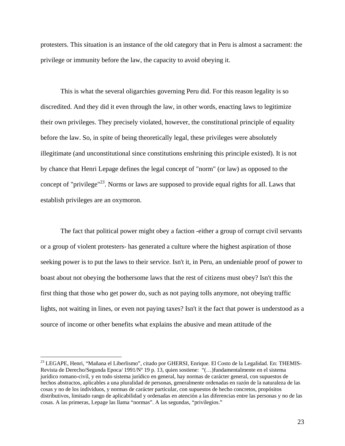protesters. This situation is an instance of the old category that in Peru is almost a sacrament: the privilege or immunity before the law, the capacity to avoid obeying it.

 This is what the several oligarchies governing Peru did. For this reason legality is so discredited. And they did it even through the law, in other words, enacting laws to legitimize their own privileges. They precisely violated, however, the constitutional principle of equality before the law. So, in spite of being theoretically legal, these privileges were absolutely illegitimate (and unconstitutional since constitutions enshrining this principle existed). It is not by chance that Henri Lepage defines the legal concept of "norm" (or law) as opposed to the concept of "privilege"<sup>23</sup>. Norms or laws are supposed to provide equal rights for all. Laws that establish privileges are an oxymoron.

 The fact that political power might obey a faction -either a group of corrupt civil servants or a group of violent protesters- has generated a culture where the highest aspiration of those seeking power is to put the laws to their service. Isn't it, in Peru, an undeniable proof of power to boast about not obeying the bothersome laws that the rest of citizens must obey? Isn't this the first thing that those who get power do, such as not paying tolls anymore, not obeying traffic lights, not waiting in lines, or even not paying taxes? Isn't it the fact that power is understood as a source of income or other benefits what explains the abusive and mean attitude of the

<sup>&</sup>lt;sup>23</sup> LEGAPE, Henri, "Mañana el Liberlismo", citado por GHERSI, Enrique. El Costo de la Legalidad. En: THEMIS-Revista de Derecho/Segunda Epoca/ 1991/Nº 19 p. 13, quien sostiene: "(…)fundamentalmente en el sistema jurídico romano-civil, y en todo sistema jurídico en general, hay normas de carácter general, con supuestos de hechos abstractos, aplicables a una pluralidad de personas, generalmente ordenadas en razón de la naturaleza de las cosas y no de los individuos, y normas de carácter particular, con supuestos de hecho concretos, propósitos distributivos, limitado rango de aplicabilidad y ordenadas en atención a las diferencias entre las personas y no de las cosas. A las primeras, Lepage las llama "normas". A las segundas, "privilegios."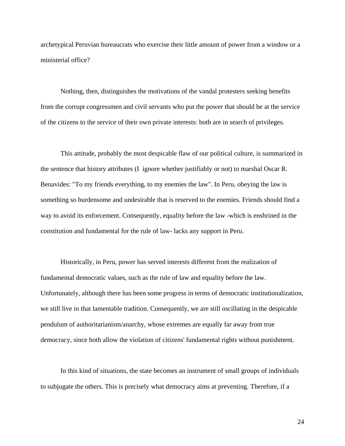archetypical Peruvian bureaucrats who exercise their little amount of power from a window or a ministerial office?

 Nothing, then, distinguishes the motivations of the vandal protesters seeking benefits from the corrupt congressmen and civil servants who put the power that should be at the service of the citizens to the service of their own private interests: both are in search of privileges.

 This attitude, probably the most despicable flaw of our political culture, is summarized in the sentence that history attributes (I ignore whether justifiably or not) to marshal Oscar R. Benavides: "To my friends everything, to my enemies the law". In Peru, obeying the law is something so burdensome and undesirable that is reserved to the enemies. Friends should find a way to avoid its enforcement. Consequently, equality before the law -which is enshrined in the constitution and fundamental for the rule of law- lacks any support in Peru.

 Historically, in Peru, power has served interests different from the realization of fundamental democratic values, such as the rule of law and equality before the law. Unfortunately, although there has been some progress in terms of democratic institutionalization, we still live in that lamentable tradition. Consequently, we are still oscillating in the despicable pendulum of authoritarianism/anarchy, whose extremes are equally far away from true democracy, since both allow the violation of citizens' fundamental rights without punishment.

 In this kind of situations, the state becomes an instrument of small groups of individuals to subjugate the others. This is precisely what democracy aims at preventing. Therefore, if a